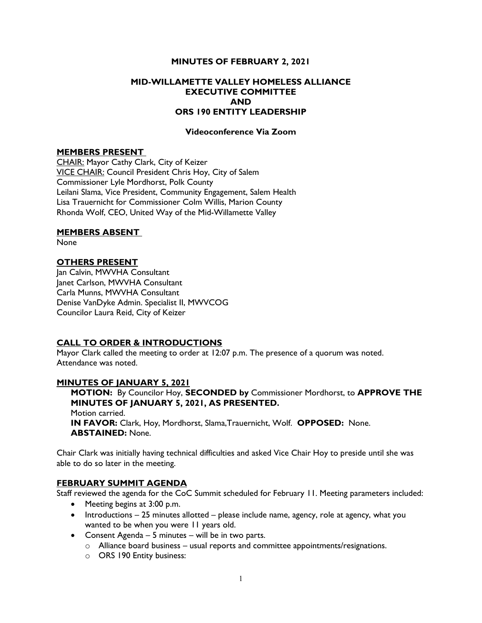### MINUTES OF FEBRUARY 2, 2021

## MID-WILLAMETTE VALLEY HOMELESS ALLIANCE EXECUTIVE COMMITTEE AND ORS 190 ENTITY LEADERSHIP

### Videoconference Via Zoom

#### MEMBERS PRESENT

CHAIR: Mayor Cathy Clark, City of Keizer VICE CHAIR: Council President Chris Hoy, City of Salem Commissioner Lyle Mordhorst, Polk County Leilani Slama, Vice President, Community Engagement, Salem Health Lisa Trauernicht for Commissioner Colm Willis, Marion County Rhonda Wolf, CEO, United Way of the Mid-Willamette Valley

#### MEMBERS ABSENT

None

#### OTHERS PRESENT

Jan Calvin, MWVHA Consultant Janet Carlson, MWVHA Consultant Carla Munns, MWVHA Consultant Denise VanDyke Admin. Specialist II, MWVCOG Councilor Laura Reid, City of Keizer

#### CALL TO ORDER & INTRODUCTIONS

Mayor Clark called the meeting to order at 12:07 p.m. The presence of a quorum was noted. Attendance was noted.

#### MINUTES OF JANUARY 5, 2021

MOTION: By Councilor Hoy, SECONDED by Commissioner Mordhorst, to APPROVE THE MINUTES OF JANUARY 5, 2021, AS PRESENTED. Motion carried. IN FAVOR: Clark, Hoy, Mordhorst, Slama,Trauernicht, Wolf. OPPOSED: None. ABSTAINED: None.

Chair Clark was initially having technical difficulties and asked Vice Chair Hoy to preside until she was able to do so later in the meeting.

#### FEBRUARY SUMMIT AGENDA

Staff reviewed the agenda for the CoC Summit scheduled for February 11. Meeting parameters included:

- Meeting begins at 3:00 p.m.
- Introductions 25 minutes allotted please include name, agency, role at agency, what you wanted to be when you were 11 years old.
- Consent Agenda 5 minutes will be in two parts.
	- o Alliance board business usual reports and committee appointments/resignations.
	- o ORS 190 Entity business: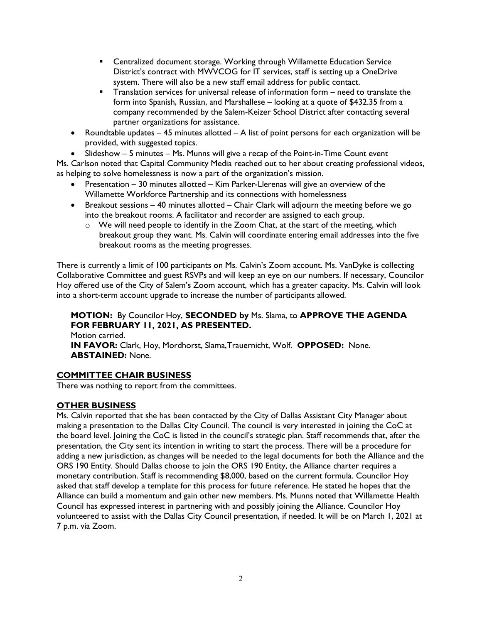- Centralized document storage. Working through Willamette Education Service District's contract with MWVCOG for IT services, staff is setting up a OneDrive system. There will also be a new staff email address for public contact.
- Translation services for universal release of information form need to translate the form into Spanish, Russian, and Marshallese – looking at a quote of \$432.35 from a company recommended by the Salem-Keizer School District after contacting several partner organizations for assistance.
- Roundtable updates 45 minutes allotted A list of point persons for each organization will be provided, with suggested topics.
- Slideshow 5 minutes Ms. Munns will give a recap of the Point-in-Time Count event

Ms. Carlson noted that Capital Community Media reached out to her about creating professional videos, as helping to solve homelessness is now a part of the organization's mission.

- Presentation 30 minutes allotted Kim Parker-Llerenas will give an overview of the Willamette Workforce Partnership and its connections with homelessness
- **•** Breakout sessions  $-$  40 minutes allotted  $-$  Chair Clark will adjourn the meeting before we go into the breakout rooms. A facilitator and recorder are assigned to each group.
	- o We will need people to identify in the Zoom Chat, at the start of the meeting, which breakout group they want. Ms. Calvin will coordinate entering email addresses into the five breakout rooms as the meeting progresses.

There is currently a limit of 100 participants on Ms. Calvin's Zoom account. Ms. VanDyke is collecting Collaborative Committee and guest RSVPs and will keep an eye on our numbers. If necessary, Councilor Hoy offered use of the City of Salem's Zoom account, which has a greater capacity. Ms. Calvin will look into a short-term account upgrade to increase the number of participants allowed.

MOTION: By Councilor Hoy, SECONDED by Ms. Slama, to APPROVE THE AGENDA FOR FEBRUARY 11, 2021, AS PRESENTED. Motion carried. IN FAVOR: Clark, Hoy, Mordhorst, Slama,Trauernicht, Wolf. OPPOSED: None. ABSTAINED: None.

# COMMITTEE CHAIR BUSINESS

There was nothing to report from the committees.

# OTHER BUSINESS

Ms. Calvin reported that she has been contacted by the City of Dallas Assistant City Manager about making a presentation to the Dallas City Council. The council is very interested in joining the CoC at the board level. Joining the CoC is listed in the council's strategic plan. Staff recommends that, after the presentation, the City sent its intention in writing to start the process. There will be a procedure for adding a new jurisdiction, as changes will be needed to the legal documents for both the Alliance and the ORS 190 Entity. Should Dallas choose to join the ORS 190 Entity, the Alliance charter requires a monetary contribution. Staff is recommending \$8,000, based on the current formula. Councilor Hoy asked that staff develop a template for this process for future reference. He stated he hopes that the Alliance can build a momentum and gain other new members. Ms. Munns noted that Willamette Health Council has expressed interest in partnering with and possibly joining the Alliance. Councilor Hoy volunteered to assist with the Dallas City Council presentation, if needed. It will be on March 1, 2021 at 7 p.m. via Zoom.